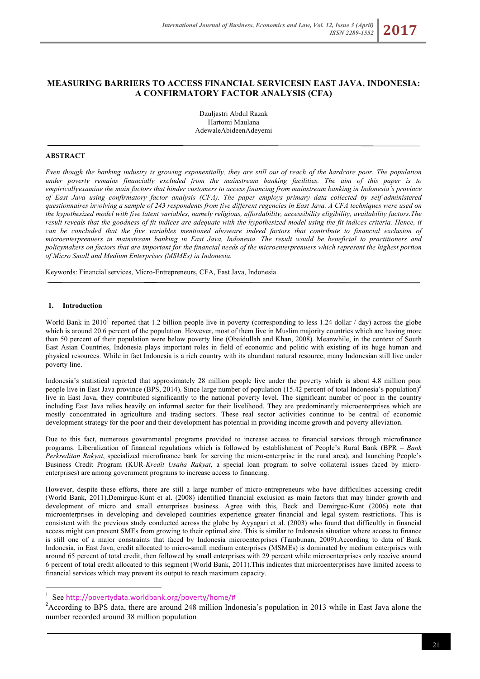# **MEASURING BARRIERS TO ACCESS FINANCIAL SERVICESIN EAST JAVA, INDONESIA: A CONFIRMATORY FACTOR ANALYSIS (CFA)**

Dzuljastri Abdul Razak Hartomi Maulana AdewaleAbideenAdeyemi

# **ABSTRACT**

*Even though the banking industry is growing exponentially, they are still out of reach of the hardcore poor. The population under poverty remains financially excluded from the mainstream banking facilities. The aim of this paper is to empiricallyexamine the main factors that hinder customers to access financing from mainstream banking in Indonesia's province of East Java using confirmatory factor analysis (CFA). The paper employs primary data collected by self-administered questionnaires involving a sample of 243 respondents from five different regencies in East Java. A CFA techniques were used on the hypothesized model with five latent variables, namely religious, affordability, accessibility eligibility, availability factors.The result reveals that the goodness-of-fit indices are adequate with the hypothesized model using the fit indices criteria. Hence, it*  can be concluded that the five variables mentioned aboveare indeed factors that contribute to financial exclusion of *microenterprenuers in mainstream banking in East Java, Indonesia. The result would be beneficial to practitioners and policymakers on factors that are important for the financial needs of the microenterprenuers which represent the highest portion of Micro Small and Medium Enterprises (MSMEs) in Indonesia.*

Keywords: Financial services, Micro-Entrepreneurs, CFA, East Java, Indonesia

### **1. Introduction**

World Bank in 2010<sup>1</sup> reported that 1.2 billion people live in poverty (corresponding to less 1.24 dollar / day) across the globe which is around 20.6 percent of the population. However, most of them live in Muslim majority countries which are having more than 50 percent of their population were below poverty line (Obaidullah and Khan, 2008). Meanwhile, in the context of South East Asian Countries, Indonesia plays important roles in field of economic and politic with existing of its huge human and physical resources. While in fact Indonesia is a rich country with its abundant natural resource, many Indonesian still live under poverty line.

Indonesia's statistical reported that approximately 28 million people live under the poverty which is about 4.8 million poor people live in East Java province (BPS, 2014). Since large number of population (15.42 percent of total Indonesia's population)<sup>2</sup> live in East Java, they contributed significantly to the national poverty level. The significant number of poor in the country including East Java relies heavily on informal sector for their livelihood. They are predominantly microenterprises which are mostly concentrated in agriculture and trading sectors. These real sector activities continue to be central of economic development strategy for the poor and their development has potential in providing income growth and poverty alleviation.

Due to this fact, numerous governmental programs provided to increase access to financial services through microfinance programs. Liberalization of financial regulations which is followed by establishment of People's Rural Bank (BPR – *Bank Perkreditan Rakyat*, specialized microfinance bank for serving the micro-enterprise in the rural area), and launching People's Business Credit Program (KUR-*Kredit Usaha Rakyat*, a special loan program to solve collateral issues faced by microenterprises) are among government programs to increase access to financing.

However, despite these efforts, there are still a large number of micro-entrepreneurs who have difficulties accessing credit (World Bank, 2011).Demirguc-Kunt et al. (2008) identified financial exclusion as main factors that may hinder growth and development of micro and small enterprises business. Agree with this, Beck and Demirguc-Kunt (2006) note that microenterprises in developing and developed countries experience greater financial and legal system restrictions. This is consistent with the previous study conducted across the globe by Ayyagari et al. (2003) who found that difficultly in financial access might can prevent SMEs from growing to their optimal size. This is similar to Indonesia situation where access to finance is still one of a major constraints that faced by Indonesia microenterprises (Tambunan, 2009).According to data of Bank Indonesia, in East Java, credit allocated to micro-small medium enterprises (MSMEs) is dominated by medium enterprises with around 65 percent of total credit, then followed by small enterprises with 29 percent while microenterprises only receive around 6 percent of total credit allocated to this segment (World Bank, 2011).This indicates that microenterprises have limited access to financial services which may prevent its output to reach maximum capacity.

 $\frac{1}{1}$ See http://povertydata.worldbank.org/poverty/home/# <sup>2</sup>

<sup>&</sup>lt;sup>2</sup> According to BPS data, there are around 248 million Indonesia's population in 2013 while in East Java alone the number recorded around 38 million population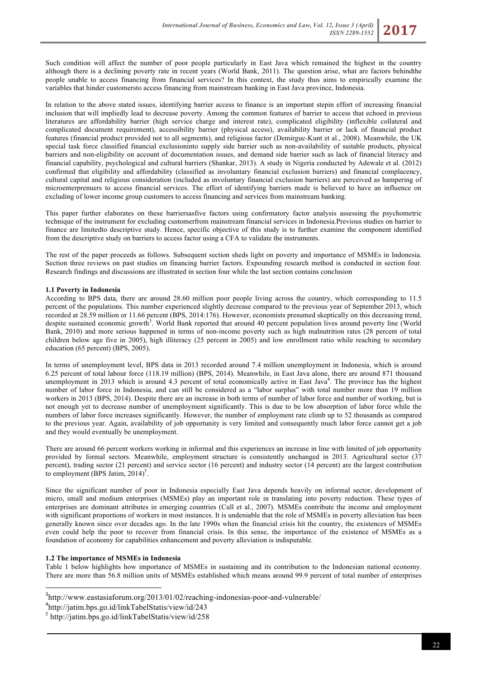Such condition will affect the number of poor people particularly in East Java which remained the highest in the country although there is a declining poverty rate in recent years (World Bank, 2011). The question arise, what are factors behindthe people unable to access financing from financial services? In this context, the study thus aims to empirically examine the variables that hinder customersto access financing from mainstream banking in East Java province, Indonesia.

In relation to the above stated issues, identifying barrier access to finance is an important stepin effort of increasing financial inclusion that will impliedly lead to decrease poverty. Among the common features of barrier to access that echoed in previous literatures are affordability barrier (high service charge and interest rate), complicated eligibility (inflexible collateral and complicated document requirement), accessibility barrier (physical access), availability barrier or lack of financial product features (financial product provided not to all segments), and religious factor (Demirguc-Kunt et al., 2008). Meanwhile, the UK special task force classified financial exclusioninto supply side barrier such as non-availability of suitable products, physical barriers and non-eligibility on account of documentation issues, and demand side barrier such as lack of financial literacy and financial capability, psychological and cultural barriers (Shankar, 2013). A study in Nigeria conducted by Adewale et al. (2012) confirmed that eligibility and affordability (classified as involuntary financial exclusion barriers) and financial complacency, cultural capital and religious consideration (included as involuntary financial exclusion barriers) are perceived as hampering of microenterprenuers to access financial services. The effort of identifying barriers made is believed to have an influence on excluding of lower income group customers to access financing and services from mainstream banking.

This paper further elaborates on these barriersasfive factors using confirmatory factor analysis assessing the psychometric technique of the instrument for excluding customerfrom mainstream financial services in Indonesia.Previous studies on barrier to finance are limitedto descriptive study. Hence, specific objective of this study is to further examine the component identified from the descriptive study on barriers to access factor using a CFA to validate the instruments.

The rest of the paper proceeds as follows. Subsequent section sheds light on poverty and importance of MSMEs in Indonesia. Section three reviews on past studies on financing barrier factors. Expounding research method is conducted in section four. Research findings and discussions are illustrated in section four while the last section contains conclusion

#### **1.1 Poverty in Indonesia**

According to BPS data, there are around 28.60 million poor people living across the country, which corresponding to 11.5 percent of the populations. This number experienced slightly decrease compared to the previous year of September 2013, which recorded at 28.59 million or 11.66 percent (BPS, 2014:176). However, economists presumed skeptically on this decreasing trend, despite sustained economic growth<sup>3</sup>. World Bank reported that around 40 percent population lives around poverty line (World Bank, 2010) and more serious happened in terms of non-income poverty such as high malnutrition rates (28 percent of total children below age five in 2005), high illiteracy (25 percent in 2005) and low enrollment ratio while reaching to secondary education (65 percent) (BPS, 2005).

In terms of unemployment level, BPS data in 2013 recorded around 7.4 million unemployment in Indonesia, which is around 6.25 percent of total labour force (118.19 million) (BPS, 2014). Meanwhile, in East Java alone, there are around 871 thousand unemployment in 2013 which is around 4.3 percent of total economically active in East Java<sup>4</sup>. The province has the highest number of labor force in Indonesia, and can still be considered as a "labor surplus" with total number more than 19 million workers in 2013 (BPS, 2014). Despite there are an increase in both terms of number of labor force and number of working, but is not enough yet to decrease number of unemployment significantly. This is due to be low absorption of labor force while the numbers of labor force increases significantly. However, the number of employment rate climb up to 52 thousands as compared to the previous year. Again, availability of job opportunity is very limited and consequently much labor force cannot get a job and they would eventually be unemployment.

There are around 66 percent workers working in informal and this experiences an increase in line with limited of job opportunity provided by formal sectors. Meanwhile, employment structure is consistently unchanged in 2013. Agricultural sector (37 percent), trading sector (21 percent) and service sector (16 percent) and industry sector (14 percent) are the largest contribution to employment (BPS Jatim,  $2014$ )<sup>5</sup>.

Since the significant number of poor in Indonesia especially East Java depends heavily on informal sector, development of micro, small and medium enterprises (MSMEs) play an important role in translating into poverty reduction. These types of enterprises are dominant attributes in emerging countries (Cull et al., 2007). MSMEs contribute the income and employment with significant proportions of workers in most instances. It is undeniable that the role of MSMEs in poverty alleviation has been generally known since over decades ago. In the late 1990s when the financial crisis hit the country, the existences of MSMEs even could help the poor to recover from financial crisis. In this sense, the importance of the existence of MSMEs as a foundation of economy for capabilities enhancement and poverty alleviation is indisputable.

### **1.2 The importance of MSMEs in Indonesia**

Table 1 below highlights how importance of MSMEs in sustaining and its contribution to the Indonesian national economy. There are more than 56.8 million units of MSMEs established which means around 99.9 percent of total number of enterprises

<sup>-&</sup>lt;br>3  $3$ http://www.eastasiaforum.org/2013/01/02/reaching-indonesias-poor-and-vulnerable/

<sup>4</sup> http://jatim.bps.go.id/linkTabelStatis/view/id/243

<sup>5</sup> http://jatim.bps.go.id/linkTabelStatis/view/id/258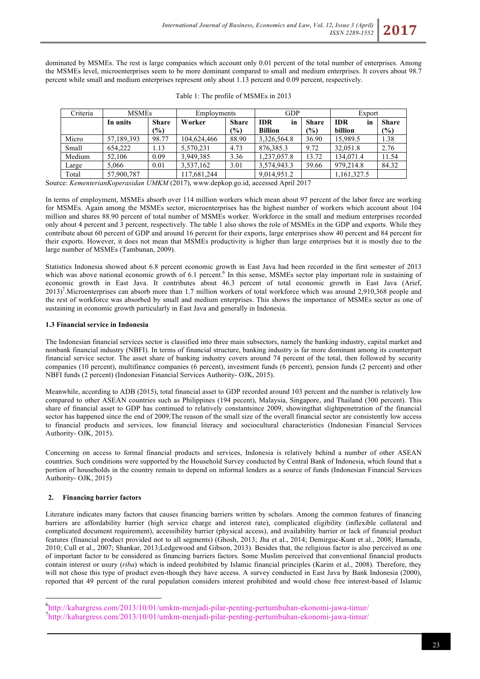dominated by MSMEs. The rest is large companies which account only 0.01 percent of the total number of enterprises. Among the MSMEs level, microenterprises seem to be more dominant compared to small and medium enterprises. It covers about 98.7 percent while small and medium enterprises represent only about 1.13 percent and 0.09 percent, respectively.

| Criteria | <b>MSMEs</b> |              | Employments |               | <b>GDP</b>       |              | Export           |              |
|----------|--------------|--------------|-------------|---------------|------------------|--------------|------------------|--------------|
|          | In units     | <b>Share</b> | Worker      | <b>Share</b>  | <b>IDR</b><br>in | <b>Share</b> | <b>IDR</b><br>in | <b>Share</b> |
|          |              | (%)          |             | $\frac{6}{6}$ | <b>Billion</b>   | (%)          | billion          | (%)          |
| Micro    | 57,189,393   | 98.77        | 104,624,466 | 88.90         | 3,326,564.8      | 36.90        | 15,989.5         | 1.38         |
| Small    | 654.222      | 1.13         | 5,570,231   | 4.73          | 876, 385. 3      | 9.72         | 32,051.8         | 2.76         |
| Medium   | 52.106       | 0.09         | 3,949,385   | 3.36          | 1,237,057.8      | 13.72        | 134,071.4        | 11.54        |
| Large    | 5.066        | 0.01         | 3,537,162   | 3.01          | 3,574,943.3      | 39.66        | 979,214.8        | 84.32        |
| Total    | 57,900,787   |              | 117,681,244 |               | 9,014,951.2      |              | 1,161,327.5      |              |

|  | Table 1: The profile of MSMEs in 2013 |  |  |  |
|--|---------------------------------------|--|--|--|
|  |                                       |  |  |  |

Source: *KementerianKoperasidan UMKM* (2017), www.depkop.go.id, accessed April 2017

In terms of employment, MSMEs absorb over 114 million workers which mean about 97 percent of the labor force are working for MSMEs. Again among the MSMEs sector, microenterprises has the highest number of workers which account about 104 million and shares 88.90 percent of total number of MSMEs worker. Workforce in the small and medium enterprises recorded only about 4 percent and 3 percent, respectively. The table 1 also shows the role of MSMEs in the GDP and exports. While they contribute about 60 percent of GDP and around 16 percent for their exports, large enterprises show 40 percent and 84 percent for their exports. However, it does not mean that MSMEs productivity is higher than large enterprises but it is mostly due to the large number of MSMEs (Tambunan, 2009).

Statistics Indonesia showed about 6.8 percent economic growth in East Java had been recorded in the first semester of 2013 which was above national economic growth of 6.1 percent.<sup>6</sup> In this sense, MSMEs sector play important role in sustaining of economic growth in East Java. It contributes about 46.3 percent of total economic growth in East Java (Arief, 2013)<sup>7</sup>. Microenterprises can absorb more than 1.7 million workers of total workforce which was around 2,910,368 people and the rest of workforce was absorbed by small and medium enterprises. This shows the importance of MSMEs sector as one of sustaining in economic growth particularly in East Java and generally in Indonesia.

# **1.3 Financial service in Indonesia**

The Indonesian financial services sector is classified into three main subsectors, namely the banking industry, capital market and nonbank financial industry (NBFI). In terms of financial structure, banking industry is far more dominant among its counterpart financial service sector. The asset share of banking industry covers around 74 percent of the total, then followed by security companies (10 percent), multifinance companies (6 percent), investment funds (6 percent), pension funds (2 percent) and other NBFI funds (2 percent) (Indonesian Financial Services Authority- OJK, 2015).

Meanwhile, according to ADB (2015), total financial asset to GDP recorded around 103 percent and the number is relatively low compared to other ASEAN countries such as Philippines (194 pecent), Malaysia, Singapore, and Thailand (300 percent). This share of financial asset to GDP has continued to relatively constantsince 2009, showingthat slightpenetration of the financial sector has happened since the end of 2009.The reason of the small size of the overall financial sector are consistently low access to financial products and services, low financial literacy and sociocultural characteristics (Indonesian Financial Services Authority- OJK, 2015).

Concerning on access to formal financial products and services, Indonesia is relatively behind a number of other ASEAN countries. Such conditions were supported by the Household Survey conducted by Central Bank of Indonesia, which found that a portion of households in the country remain to depend on informal lenders as a source of funds (Indonesian Financial Services Authority- OJK, 2015)

# **2. Financing barrier factors**

Literature indicates many factors that causes financing barriers written by scholars. Among the common features of financing barriers are affordability barrier (high service charge and interest rate), complicated eligibility (inflexible collateral and complicated document requirement), accessibility barrier (physical access), and availability barrier or lack of financial product features (financial product provided not to all segments) (Ghosh, 2013; Jha et al., 2014; Demirguc-Kunt et al., 2008; Hamada, 2010; Cull et al., 2007; Shankar, 2013;Ledgewood and Gibson, 2013). Besides that, the religious factor is also perceived as one of important factor to be considered as financing barriers factors. Some Muslim perceived that conventional financial products contain interest or usury (*riba*) which is indeed prohibited by Islamic financial principles (Karim et al., 2008). Therefore, they will not chose this type of product even-though they have access. A survey conducted in East Java by Bank Indonesia (2000), reported that 49 percent of the rural population considers interest prohibited and would chose free interest-based of Islamic

 <sup>6</sup> http://kabargress.com/2013/10/01/umkm-menjadi-pilar-penting-pertumbuhan-ekonomi-jawa-timur/ <sup>7</sup> http://kabargress.com/2013/10/01/umkm-menjadi-pilar-penting-pertumbuhan-ekonomi-jawa-timur/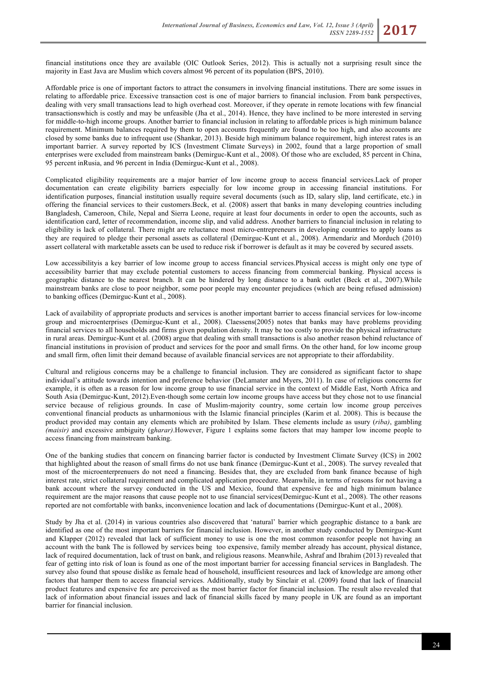financial institutions once they are available (OIC Outlook Series, 2012). This is actually not a surprising result since the majority in East Java are Muslim which covers almost 96 percent of its population (BPS, 2010).

Affordable price is one of important factors to attract the consumers in involving financial institutions. There are some issues in relating to affordable price. Excessive transaction cost is one of major barriers to financial inclusion. From bank perspectives, dealing with very small transactions lead to high overhead cost. Moreover, if they operate in remote locations with few financial transactionswhich is costly and may be unfeasible (Jha et al., 2014). Hence, they have inclined to be more interested in serving for middle-to-high income groups. Another barrier to financial inclusion in relating to affordable prices is high minimum balance requirement. Minimum balances required by them to open accounts frequently are found to be too high, and also accounts are closed by some banks due to infrequent use (Shankar, 2013). Beside high minimum balance requirement, high interest rates is an important barrier. A survey reported by ICS (Investment Climate Surveys) in 2002, found that a large proportion of small enterprises were excluded from mainstream banks (Demirguc-Kunt et al., 2008). Of those who are excluded, 85 percent in China, 95 percent inRusia, and 96 percent in India (Demirguc-Kunt et al., 2008).

Complicated eligibility requirements are a major barrier of low income group to access financial services.Lack of proper documentation can create eligibility barriers especially for low income group in accessing financial institutions. For identification purposes, financial institution usually require several documents (such as ID, salary slip, land certificate, etc.) in offering the financial services to their customers.Beck, et al. (2008) assert that banks in many developing countries including Bangladesh, Cameroon, Chile, Nepal and Sierra Leone, require at least four documents in order to open the accounts, such as identification card, letter of recommendation, income slip, and valid address. Another barriers to financial inclusion in relating to eligibility is lack of collateral. There might are reluctance most micro-entrepreneurs in developing countries to apply loans as they are required to pledge their personal assets as collateral (Demirguc-Kunt et al., 2008). Armendariz and Morduch (2010) assert collateral with marketable assets can be used to reduce risk if borrower is default as it may be covered by secured assets.

Low accessibilityis a key barrier of low income group to access financial services.Physical access is might only one type of accessibility barrier that may exclude potential customers to access financing from commercial banking. Physical access is geographic distance to the nearest branch. It can be hindered by long distance to a bank outlet (Beck et al., 2007).While mainstream banks are close to poor neighbor, some poor people may encounter prejudices (which are being refused admission) to banking offices (Demirguc-Kunt et al., 2008).

Lack of availability of appropriate products and services is another important barrier to access financial services for low-income group and microenterprises (Demirguc-Kunt et al., 2008). Claessens(2005) notes that banks may have problems providing financial services to all households and firms given population density. It may be too costly to provide the physical infrastructure in rural areas. Demirguc-Kunt et al. (2008) argue that dealing with small transactions is also another reason behind reluctance of financial institutions in provision of product and services for the poor and small firms. On the other hand, for low income group and small firm, often limit their demand because of available financial services are not appropriate to their affordability.

Cultural and religious concerns may be a challenge to financial inclusion. They are considered as significant factor to shape individual's attitude towards intention and preference behavior (DeLamater and Myers, 2011). In case of religious concerns for example, it is often as a reason for low income group to use financial service in the context of Middle East, North Africa and South Asia (Demirguc-Kunt, 2012).Even-though some certain low income groups have access but they chose not to use financial service because of religious grounds. In case of Muslim-majority country, some certain low income group perceives conventional financial products as unharmonious with the Islamic financial principles (Karim et al. 2008). This is because the product provided may contain any elements which are prohibited by Islam. These elements include as usury (*riba)*, gambling *(maisir)* and excessive ambiguity (g*harar)*.However, Figure 1 explains some factors that may hamper low income people to access financing from mainstream banking.

One of the banking studies that concern on financing barrier factor is conducted by Investment Climate Survey (ICS) in 2002 that highlighted about the reason of small firms do not use bank finance (Demirguc-Kunt et al., 2008). The survey revealed that most of the microenterprenuers do not need a financing. Besides that, they are excluded from bank finance because of high interest rate, strict collateral requirement and complicated application procedure. Meanwhile, in terms of reasons for not having a bank account where the survey conducted in the US and Mexico, found that expensive fee and high minimum balance requirement are the major reasons that cause people not to use financial services(Demirguc-Kunt et al., 2008). The other reasons reported are not comfortable with banks, inconvenience location and lack of documentations (Demirguc-Kunt et al., 2008).

Study by Jha et al. (2014) in various countries also discovered that 'natural' barrier which geographic distance to a bank are identified as one of the most important barriers for financial inclusion. However, in another study conducted by Demirguc-Kunt and Klapper (2012) revealed that lack of sufficient money to use is one the most common reasonfor people not having an account with the bank The is followed by services being too expensive, family member already has account, physical distance, lack of required documentation, lack of trust on bank, and religious reasons. Meanwhile, Ashraf and Ibrahim (2013) revealed that fear of getting into risk of loan is found as one of the most important barrier for accessing financial services in Bangladesh. The survey also found that spouse dislike as female head of household, insufficient resources and lack of knowledge are among other factors that hamper them to access financial services. Additionally, study by Sinclair et al. (2009) found that lack of financial product features and expensive fee are perceived as the most barrier factor for financial inclusion. The result also revealed that lack of information about financial issues and lack of financial skills faced by many people in UK are found as an important barrier for financial inclusion.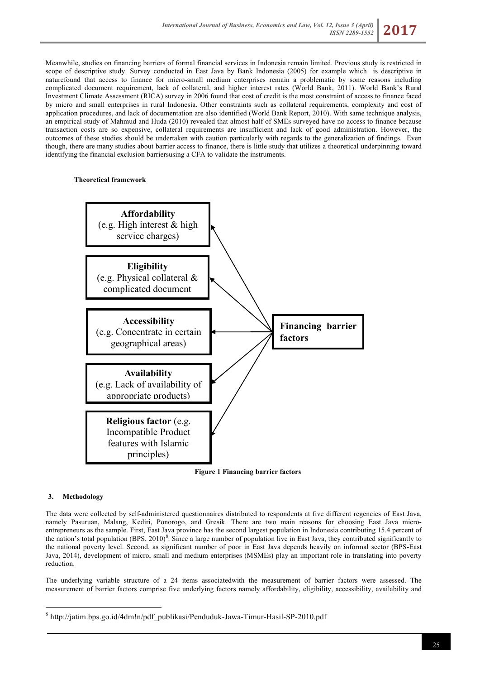Meanwhile, studies on financing barriers of formal financial services in Indonesia remain limited. Previous study is restricted in scope of descriptive study. Survey conducted in East Java by Bank Indonesia (2005) for example which is descriptive in naturefound that access to finance for micro-small medium enterprises remain a problematic by some reasons including complicated document requirement, lack of collateral, and higher interest rates (World Bank, 2011). World Bank's Rural Investment Climate Assessment (RICA) survey in 2006 found that cost of credit is the most constraint of access to finance faced by micro and small enterprises in rural Indonesia. Other constraints such as collateral requirements, complexity and cost of application procedures, and lack of documentation are also identified (World Bank Report, 2010). With same technique analysis, an empirical study of Mahmud and Huda (2010) revealed that almost half of SMEs surveyed have no access to finance because transaction costs are so expensive, collateral requirements are insufficient and lack of good administration. However, the outcomes of these studies should be undertaken with caution particularly with regards to the generalization of findings. Even though, there are many studies about barrier access to finance, there is little study that utilizes a theoretical underpinning toward identifying the financial exclusion barriersusing a CFA to validate the instruments.

# **Theoretical framework**



**Figure 1 Financing barrier factors**

# **3. Methodology**

The data were collected by self-administered questionnaires distributed to respondents at five different regencies of East Java, namely Pasuruan, Malang, Kediri, Ponorogo, and Gresik. There are two main reasons for choosing East Java microentrepreneurs as the sample. First, East Java province has the second largest population in Indonesia contributing 15.4 percent of the nation's total population (BPS,  $2010$ <sup>8</sup>. Since a large number of population live in East Java, they contributed significantly to the national poverty level. Second, as significant number of poor in East Java depends heavily on informal sector (BPS-East Java, 2014), development of micro, small and medium enterprises (MSMEs) play an important role in translating into poverty reduction.

The underlying variable structure of a 24 items associatedwith the measurement of barrier factors were assessed. The measurement of barrier factors comprise five underlying factors namely affordability, eligibility, accessibility, availability and

 <sup>8</sup> http://jatim.bps.go.id/4dm!n/pdf\_publikasi/Penduduk-Jawa-Timur-Hasil-SP-2010.pdf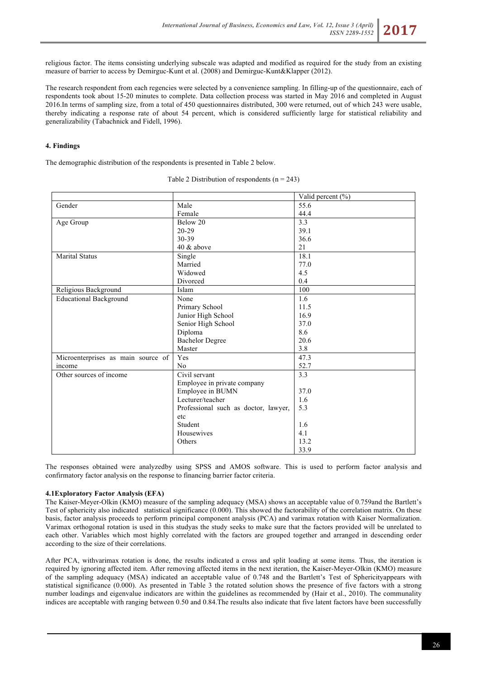religious factor. The items consisting underlying subscale was adapted and modified as required for the study from an existing measure of barrier to access by Demirguc-Kunt et al. (2008) and Demirguc-Kunt&Klapper (2012).

The research respondent from each regencies were selected by a convenience sampling. In filling-up of the questionnaire, each of respondents took about 15-20 minutes to complete. Data collection process was started in May 2016 and completed in August 2016.In terms of sampling size, from a total of 450 questionnaires distributed, 300 were returned, out of which 243 were usable, thereby indicating a response rate of about 54 percent, which is considered sufficiently large for statistical reliability and generalizability (Tabachnick and Fidell, 1996).

# **4. Findings**

The demographic distribution of the respondents is presented in Table 2 below.

|                                    |                                      | Valid percent (%) |
|------------------------------------|--------------------------------------|-------------------|
| Gender                             | Male                                 | 55.6              |
|                                    | Female                               | 44.4              |
| Age Group                          | Below 20                             | 3.3               |
|                                    | $20 - 29$                            | 39.1              |
|                                    | 30-39                                | 36.6              |
|                                    | 40 & above                           | 21                |
| <b>Marital Status</b>              | Single                               | 18.1              |
|                                    | Married                              | 77.0              |
|                                    | Widowed                              | 4.5               |
|                                    | Divorced                             | 0.4               |
| Religious Background               | Islam                                | 100               |
| <b>Educational Background</b>      | None                                 | 1.6               |
|                                    | Primary School                       | 11.5              |
|                                    | Junior High School                   | 16.9              |
|                                    | Senior High School                   | 37.0              |
|                                    | Diploma                              | 8.6               |
|                                    | <b>Bachelor Degree</b>               | 20.6              |
|                                    | Master                               | 3.8               |
| Microenterprises as main source of | Yes                                  | 47.3              |
| income                             | N <sub>0</sub>                       | 52.7              |
| Other sources of income            | Civil servant                        | 3.3               |
|                                    | Employee in private company          |                   |
|                                    | Employee in BUMN                     | 37.0              |
|                                    | Lecturer/teacher                     | 1.6               |
|                                    | Professional such as doctor, lawyer, | 5.3               |
|                                    | etc                                  |                   |
|                                    | Student                              | 1.6               |
|                                    | Housewives                           | 4.1               |
|                                    | Others                               | 13.2              |
|                                    |                                      | 33.9              |

Table 2 Distribution of respondents  $(n = 243)$ 

The responses obtained were analyzedby using SPSS and AMOS software. This is used to perform factor analysis and confirmatory factor analysis on the response to financing barrier factor criteria.

# **4.1Exploratory Factor Analysis (EFA)**

The Kaiser-Meyer-Olkin (KMO) measure of the sampling adequacy (MSA) shows an acceptable value of 0.759and the Bartlett's Test of sphericity also indicated statistical significance (0.000). This showed the factorability of the correlation matrix. On these basis, factor analysis proceeds to perform principal component analysis (PCA) and varimax rotation with Kaiser Normalization. Varimax orthogonal rotation is used in this studyas the study seeks to make sure that the factors provided will be unrelated to each other. Variables which most highly correlated with the factors are grouped together and arranged in descending order according to the size of their correlations.

After PCA, withvarimax rotation is done, the results indicated a cross and split loading at some items. Thus, the iteration is required by ignoring affected item. After removing affected items in the next iteration, the Kaiser-Meyer-Olkin (KMO) measure of the sampling adequacy (MSA) indicated an acceptable value of 0.748 and the Bartlett's Test of Sphericityappears with statistical significance (0.000). As presented in Table 3 the rotated solution shows the presence of five factors with a strong number loadings and eigenvalue indicators are within the guidelines as recommended by (Hair et al., 2010). The communality indices are acceptable with ranging between 0.50 and 0.84.The results also indicate that five latent factors have been successfully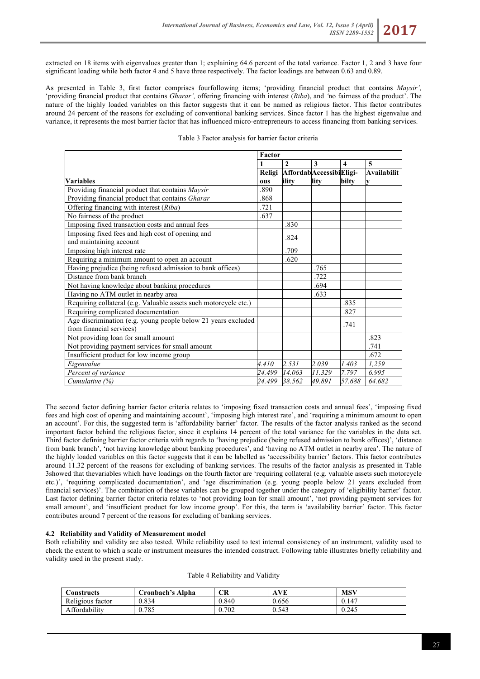extracted on 18 items with eigenvalues greater than 1; explaining 64.6 percent of the total variance. Factor 1, 2 and 3 have four significant loading while both factor 4 and 5 have three respectively. The factor loadings are between 0.63 and 0.89.

As presented in Table 3, first factor comprises fourfollowing items; 'providing financial product that contains *Maysir',* 'providing financial product that contains *Gharar',* offering financing with interest (*Riba*), and *'*no fairness of the product'. The nature of the highly loaded variables on this factor suggests that it can be named as religious factor. This factor contributes around 24 percent of the reasons for excluding of conventional banking services. Since factor 1 has the highest eigenvalue and variance, it represents the most barrier factor that has influenced micro-entrepreneurs to access financing from banking services.

|                                                                  | Factor |                                 |        |                         |             |
|------------------------------------------------------------------|--------|---------------------------------|--------|-------------------------|-------------|
|                                                                  |        | $\mathbf{2}$                    | 3      | $\overline{\mathbf{4}}$ | 5           |
|                                                                  |        | Religi Affordab AccessibiEligi- |        |                         | Availabilit |
| <b>Variables</b>                                                 | ous    | ility                           | lity   | bilty                   |             |
| Providing financial product that contains Maysir                 | .890   |                                 |        |                         |             |
| Providing financial product that contains Gharar                 | .868   |                                 |        |                         |             |
| Offering financing with interest (Riba)                          | .721   |                                 |        |                         |             |
| No fairness of the product                                       | .637   |                                 |        |                         |             |
| Imposing fixed transaction costs and annual fees                 |        | .830                            |        |                         |             |
| Imposing fixed fees and high cost of opening and                 |        | .824                            |        |                         |             |
| and maintaining account                                          |        |                                 |        |                         |             |
| Imposing high interest rate                                      |        | .709                            |        |                         |             |
| Requiring a minimum amount to open an account                    |        | .620                            |        |                         |             |
| Having prejudice (being refused admission to bank offices)       |        |                                 | .765   |                         |             |
| Distance from bank branch                                        |        |                                 | .722   |                         |             |
| Not having knowledge about banking procedures                    |        |                                 | .694   |                         |             |
| Having no ATM outlet in nearby area                              |        |                                 | .633   |                         |             |
| Requiring collateral (e.g. Valuable assets such motorcycle etc.) |        |                                 |        | .835                    |             |
| Requiring complicated documentation                              |        |                                 |        | .827                    |             |
| Age discrimination (e.g. young people below 21 years excluded    |        |                                 |        | .741                    |             |
| from financial services)                                         |        |                                 |        |                         |             |
| Not providing loan for small amount                              |        |                                 |        |                         | .823        |
| Not providing payment services for small amount                  |        |                                 |        |                         | .741        |
| Insufficient product for low income group                        |        |                                 |        |                         | .672        |
| Eigenvalue                                                       | 4.410  | 2.531                           | 2.039  | 1.403                   | 1,259       |
| Percent of variance                                              | 24.499 | 14.063                          | 11.329 | 7.797                   | 6.995       |
| Cumulative $(\%)$                                                | 24.499 | 38.562                          | 49.891 | 57.688                  | 64.682      |

#### Table 3 Factor analysis for barrier factor criteria

The second factor defining barrier factor criteria relates to 'imposing fixed transaction costs and annual fees', 'imposing fixed fees and high cost of opening and maintaining account', 'imposing high interest rate', and 'requiring a minimum amount to open an account'. For this, the suggested term is 'affordability barrier' factor. The results of the factor analysis ranked as the second important factor behind the religious factor, since it explains 14 percent of the total variance for the variables in the data set. Third factor defining barrier factor criteria with regards to 'having prejudice (being refused admission to bank offices)', 'distance from bank branch', 'not having knowledge about banking procedures', and 'having no ATM outlet in nearby area'. The nature of the highly loaded variables on this factor suggests that it can be labelled as 'accessibility barrier' factors. This factor contributes around 11.32 percent of the reasons for excluding of banking services. The results of the factor analysis as presented in Table 3showed that thevariables which have loadings on the fourth factor are 'requiring collateral (e.g. valuable assets such motorcycle etc.)', 'requiring complicated documentation', and 'age discrimination (e.g. young people below 21 years excluded from financial services)'. The combination of these variables can be grouped together under the category of 'eligibility barrier' factor. Last factor defining barrier factor criteria relates to 'not providing loan for small amount', 'not providing payment services for small amount', and 'insufficient product for low income group'. For this, the term is 'availability barrier' factor. This factor contributes around 7 percent of the reasons for excluding of banking services.

# **4.2 Reliability and Validity of Measurement model**

Both reliability and validity are also tested. While reliability used to test internal consistency of an instrument, validity used to check the extent to which a scale or instrument measures the intended construct. Following table illustrates briefly reliability and validity used in the present study.

| onstructs        | Tronbach's Alpha | CR    | .VE<br>A | MSV   |
|------------------|------------------|-------|----------|-------|
| Religious factor | 0.834            | 0.840 | 0.656    | 0.147 |
| Affordability    | 0.785            | 0.702 | 0.543    | 0.245 |

| Table 4 Reliability and Validity |  |
|----------------------------------|--|
|----------------------------------|--|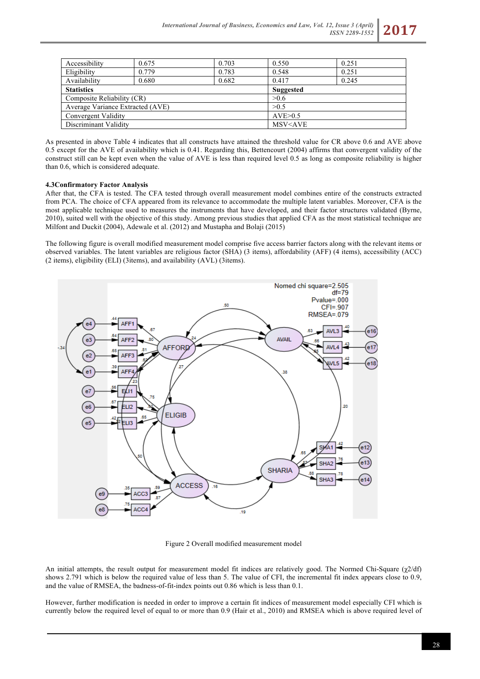

As presented in above Table 4 indicates that all constructs have attained the threshold value for CR above 0.6 and AVE above 0.5 except for the AVE of availability which is 0.41. Regarding this, Bettencourt (2004) affirms that convergent validity of the construct still can be kept even when the value of AVE is less than required level 0.5 as long as composite reliability is higher than 0.6, which is considered adequate.

#### **4.3Confirmatory Factor Analysis**

After that, the CFA is tested. The CFA tested through overall measurement model combines entire of the constructs extracted from PCA. The choice of CFA appeared from its relevance to accommodate the multiple latent variables. Moreover, CFA is the most applicable technique used to measures the instruments that have developed, and their factor structures validated (Byrne, 2010), suited well with the objective of this study. Among previous studies that applied CFA as the most statistical technique are Milfont and Duckit (2004), Adewale et al. (2012) and Mustapha and Bolaji (2015)

The following figure is overall modified measurement model comprise five access barrier factors along with the relevant items or observed variables. The latent variables are religious factor (SHA) (3 items), affordability (AFF) (4 items), accessibility (ACC) (2 items), eligibility (ELI) (3items), and availability (AVL) (3items).



Figure 2 Overall modified measurement model

An initial attempts, the result output for measurement model fit indices are relatively good. The Normed Chi-Square (χ2/df) shows 2.791 which is below the required value of less than 5. The value of CFI, the incremental fit index appears close to 0.9, and the value of RMSEA, the badness-of-fit-index points out 0.86 which is less than 0.1.

However, further modification is needed in order to improve a certain fit indices of measurement model especially CFI which is currently below the required level of equal to or more than 0.9 (Hair et al., 2010) and RMSEA which is above required level of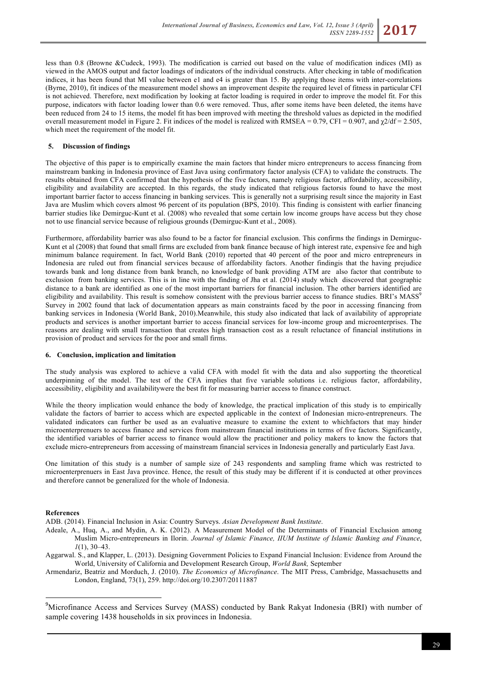less than 0.8 (Browne &Cudeck, 1993). The modification is carried out based on the value of modification indices (MI) as viewed in the AMOS output and factor loadings of indicators of the individual constructs. After checking in table of modification indices, it has been found that MI value between e1 and e4 is greater than 15. By applying those items with inter-correlations (Byrne, 2010), fit indices of the measurement model shows an improvement despite the required level of fitness in particular CFI is not achieved. Therefore, next modification by looking at factor loading is required in order to improve the model fit. For this purpose, indicators with factor loading lower than 0.6 were removed. Thus, after some items have been deleted, the items have been reduced from 24 to 15 items, the model fit has been improved with meeting the threshold values as depicted in the modified overall measurement model in Figure 2. Fit indices of the model is realized with RMSEA = 0.79, CFI = 0.907, and  $\gamma/2$ df = 2.505, which meet the requirement of the model fit.

# **5. Discussion of findings**

The objective of this paper is to empirically examine the main factors that hinder micro entrepreneurs to access financing from mainstream banking in Indonesia province of East Java using confirmatory factor analysis (CFA) to validate the constructs. The results obtained from CFA confirmed that the hypothesis of the five factors, namely religious factor, affordability, accessibility, eligibility and availability are accepted. In this regards, the study indicated that religious factorsis found to have the most important barrier factor to access financing in banking services. This is generally not a surprising result since the majority in East Java are Muslim which covers almost 96 percent of its population (BPS, 2010). This finding is consistent with earlier financing barrier studies like Demirguc-Kunt et al. (2008) who revealed that some certain low income groups have access but they chose not to use financial service because of religious grounds (Demirguc-Kunt et al., 2008).

Furthermore, affordability barrier was also found to be a factor for financial exclusion. This confirms the findings in Demirguc-Kunt et al (2008) that found that small firms are excluded from bank finance because of high interest rate, expensive fee and high minimum balance requirement. In fact, World Bank (2010) reported that 40 percent of the poor and micro entrepreneurs in Indonesia are ruled out from financial services because of affordability factors. Another findingis that the having prejudice towards bank and long distance from bank branch, no knowledge of bank providing ATM are also factor that contribute to exclusion from banking services. This is in line with the finding of Jha et al. (2014) study which discovered that geographic distance to a bank are identified as one of the most important barriers for financial inclusion. The other barriers identified are eligibility and availability. This result is somehow consistent with the previous barrier access to finance studies. BRI's MASS<sup>9</sup> Survey in 2002 found that lack of documentation appears as main constraints faced by the poor in accessing financing from banking services in Indonesia (World Bank, 2010). Meanwhile, this study also indicated that lack of availability of appropriate products and services is another important barrier to access financial services for low-income group and microenterprises. The reasons are dealing with small transaction that creates high transaction cost as a result reluctance of financial institutions in provision of product and services for the poor and small firms.

#### **6. Conclusion, implication and limitation**

The study analysis was explored to achieve a valid CFA with model fit with the data and also supporting the theoretical underpinning of the model. The test of the CFA implies that five variable solutions i.e. religious factor, affordability, accessibility, eligibility and availabilitywere the best fit for measuring barrier access to finance construct.

While the theory implication would enhance the body of knowledge, the practical implication of this study is to empirically validate the factors of barrier to access which are expected applicable in the context of Indonesian micro-entrepreneurs. The validated indicators can further be used as an evaluative measure to examine the extent to whichfactors that may hinder microenterprenuers to access finance and services from mainstream financial institutions in terms of five factors. Significantly, the identified variables of barrier access to finance would allow the practitioner and policy makers to know the factors that exclude micro-entrepreneurs from accessing of mainstream financial services in Indonesia generally and particularly East Java.

One limitation of this study is a number of sample size of 243 respondents and sampling frame which was restricted to microenterprenuers in East Java province. Hence, the result of this study may be different if it is conducted at other provinces and therefore cannot be generalized for the whole of Indonesia.

# **References**

ADB. (2014). Financial Inclusion in Asia: Country Surveys. *Asian Development Bank Institute*.

Adeale, A., Huq, A., and Mydin, A. K. (2012). A Measurement Model of the Determinants of Financial Exclusion among Muslim Micro-entrepreneurs in Ilorin. *Journal of Islamic Finance, IIUM Institute of Islamic Banking and Finance*, *1*(1), 30–43.

Aggarwal. S., and Klapper, L. (2013). Designing Government Policies to Expand Financial Inclusion: Evidence from Around the World, University of California and Development Research Group, *World Bank,* September

Armendariz, Beatriz and Morduch, J. (2010). *The Economics of Microfinance*. The MIT Press, Cambridge, Massachusetts and London, England, 73(1), 259. http://doi.org/10.2307/20111887

 9 <sup>9</sup>Microfinance Access and Services Survey (MASS) conducted by Bank Rakyat Indonesia (BRI) with number of sample covering 1438 households in six provinces in Indonesia.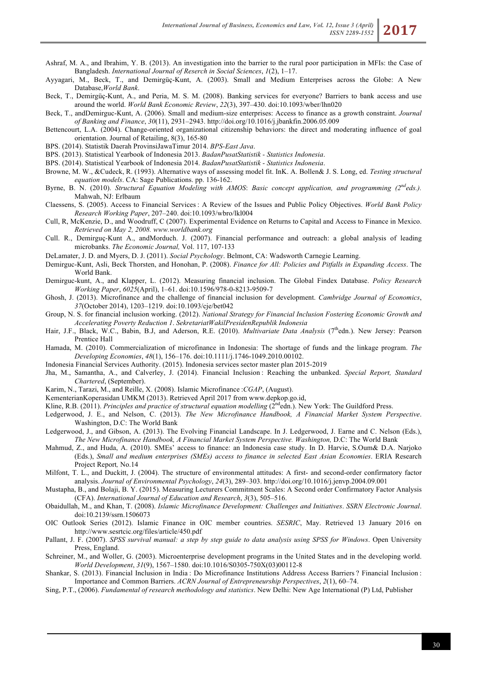- Ashraf, M. A., and Ibrahim, Y. B. (2013). An investigation into the barrier to the rural poor participation in MFIs: the Case of Bangladesh. *International Journal of Reserch in Social Sciences*, *1*(2), 1–17.
- Ayyagari, M., Beck, T., and Demirgüç-Kunt, A. (2003). Small and Medium Enterprises across the Globe: A New Database,*World Bank*.
- Beck, T., Demirgüç-Kunt, A., and Peria, M. S. M. (2008). Banking services for everyone? Barriers to bank access and use around the world. *World Bank Economic Review*, *22*(3), 397–430. doi:10.1093/wber/lhn020
- Beck, T., andDemirguc-Kunt, A. (2006). Small and medium-size enterprises: Access to finance as a growth constraint. *Journal of Banking and Finance*, *30*(11), 2931–2943. http://doi.org/10.1016/j.jbankfin.2006.05.009
- Bettencourt, L.A. (2004). Change-oriented organizational citizenship behaviors: the direct and moderating influence of goal orientation. Journal of Retailing, 8(3), 165-80
- BPS. (2014). Statistik Daerah ProvinsiJawaTimur 2014. *BPS-East Java*.
- BPS. (2013). Statistical Yearbook of Indonesia 2013. *BadanPusatStatistik - Statistics Indonesia*.
- BPS. (2014). Statistical Yearbook of Indonesia 2014. *BadanPusatStatistik - Statistics Indonesia*.
- Browne, M. W., &Cudeck, R. (1993). Alternative ways of assessing model fit. InK. A. Bollen& J. S. Long, ed. *Testing structural equation models*. CA: Sage Publications. pp. 136-162.
- Byrne, B. N. (2010). *Structural Equation Modeling with AMOS*: *Basic concept application, and programming (2ndeds.).*  Mahwah, NJ: Erlbaum
- Claessens, S. (2005). Access to Financial Services : A Review of the Issues and Public Policy Objectives. *World Bank Policy Research Working Paper*, 207–240. doi:10.1093/wbro/lkl004
- Cull, R, McKenzie, D., and Woodruff, C (2007). Experimental Evidence on Returns to Capital and Access to Finance in Mexico. *Retrieved on May 2, 2008. www.worldbank.org*
- Cull. R., Demirguç-Kunt A., andMorduch. J. (2007). Financial performance and outreach: a global analysis of leading microbanks. *The Economic Journal,* Vol. 117, 107-133
- DeLamater, J. D. and Myers, D. J. (2011). *Social Psychology*. Belmont, CA: Wadsworth Carnegie Learning.
- Demirguc-Kunt, Asli, Beck Thorsten, and Honohan, P. (2008). *Finance for All: Policies and Pitfalls in Expanding Access*. The World Bank.
- Demirguc-kunt, A., and Klapper, L. (2012). Measuring financial inclusion. The Global Findex Database. *Policy Research Working Paper*, *6025*(April), 1–61. doi:10.1596/978-0-8213-9509-7
- Ghosh, J. (2013). Microfinance and the challenge of financial inclusion for development. *Cambridge Journal of Economics*, *37*(October 2014), 1203–1219. doi:10.1093/cje/bet042
- Group, N. S. for financial inclusion working. (2012). *National Strategy for Financial Inclusion Fostering Economic Growth and Accelerating Poverty Reduction 1*. *SekretariatWakilPresidenRepublik Indonesia*
- Hair, J.F., Black, W.C., Babin, B.J, and Aderson, R.E. (2010). *Multivariate Data Analysis* (7<sup>th</sup>edn.). New Jersey: Pearson Prentice Hall
- Hamada, M. (2010). Commercialization of microfinance in Indonesia: The shortage of funds and the linkage program. *The Developing Economies*, *48*(1), 156–176. doi:10.1111/j.1746-1049.2010.00102.
- Indonesia Financial Services Authority. (2015). Indonesia services sector master plan 2015-2019
- Jha, M., Samantha, A., and Calverley, J. (2014). Financial Inclusion : Reaching the unbanked. *Special Report, Standard Chartered*, (September).
- Karim, N., Tarazi, M., and Reille, X. (2008). Islamic Microfinance :*CGAP*, (August).
- KementerianKoperasidan UMKM (2013). Retrieved April 2017 from www.depkop.go.id,
- Kline, R.B. (2011). *Principles and practice of structural equation modelling*  $(2^{nd}$ edn.). New York: The Guildford Press.
- Ledgerwood, J. E., and Nelson, C. (2013). *The New Microfinance Handbook, A Financial Market System Perspective*. Washington, D.C: The World Bank
- Ledgerwood, J., and Gibson, A. (2013). The Evolving Financial Landscape. In J. Ledgerwood, J. Earne and C. Nelson (Eds.), *The New Microfinance Handbook, A Financial Market System Perspective. Washington,* D.C: The World Bank
- Mahmud, Z., and Huda, A. (2010). SMEs' access to finance: an Indonesia case study. In D. Harvie, S.Oum& D.A. Narjoko (Eds.), *Small and medium enterprises (SMEs) access to finance in selected East Asian Economies*. ERIA Research Project Report*,* No.14
- Milfont, T. L., and Duckitt, J. (2004). The structure of environmental attitudes: A first- and second-order confirmatory factor analysis. *Journal of Environmental Psychology*, *24*(3), 289–303. http://doi.org/10.1016/j.jenvp.2004.09.001
- Mustapha, B., and Bolaji, B. Y. (2015). Measuring Lecturers Commitment Scales: A Second order Confirmatory Factor Analysis (CFA). *International Journal of Education and Research*, *3*(3), 505–516.
- Obaidullah, M., and Khan, T. (2008). *Islamic Microfinance Development: Challenges and Initiatives*. *SSRN Electronic Journal*. doi:10.2139/ssrn.1506073
- OIC Outlook Series (2012). Islamic Finance in OIC member countries. *SESRIC*, May. Retrieved 13 January 2016 on http://www.sesrtcic.org/files/article/450.pdf
- Pallant, J. F. (2007). *SPSS survival manual: a step by step guide to data analysis using SPSS for Windows*. Open University Press, England.
- Schreiner, M., and Woller, G. (2003). Microenterprise development programs in the United States and in the developing world. *World Development*, *31*(9), 1567–1580. doi:10.1016/S0305-750X(03)00112-8
- Shankar, S. (2013). Financial Inclusion in India : Do Microfinance Institutions Address Access Barriers ? Financial Inclusion : Importance and Common Barriers. *ACRN Journal of Entrepreneurship Perspectives*, *2*(1), 60–74.
- Sing, P.T., (2006). *Fundamental of research methodology and statistics*. New Delhi: New Age International (P) Ltd, Publisher